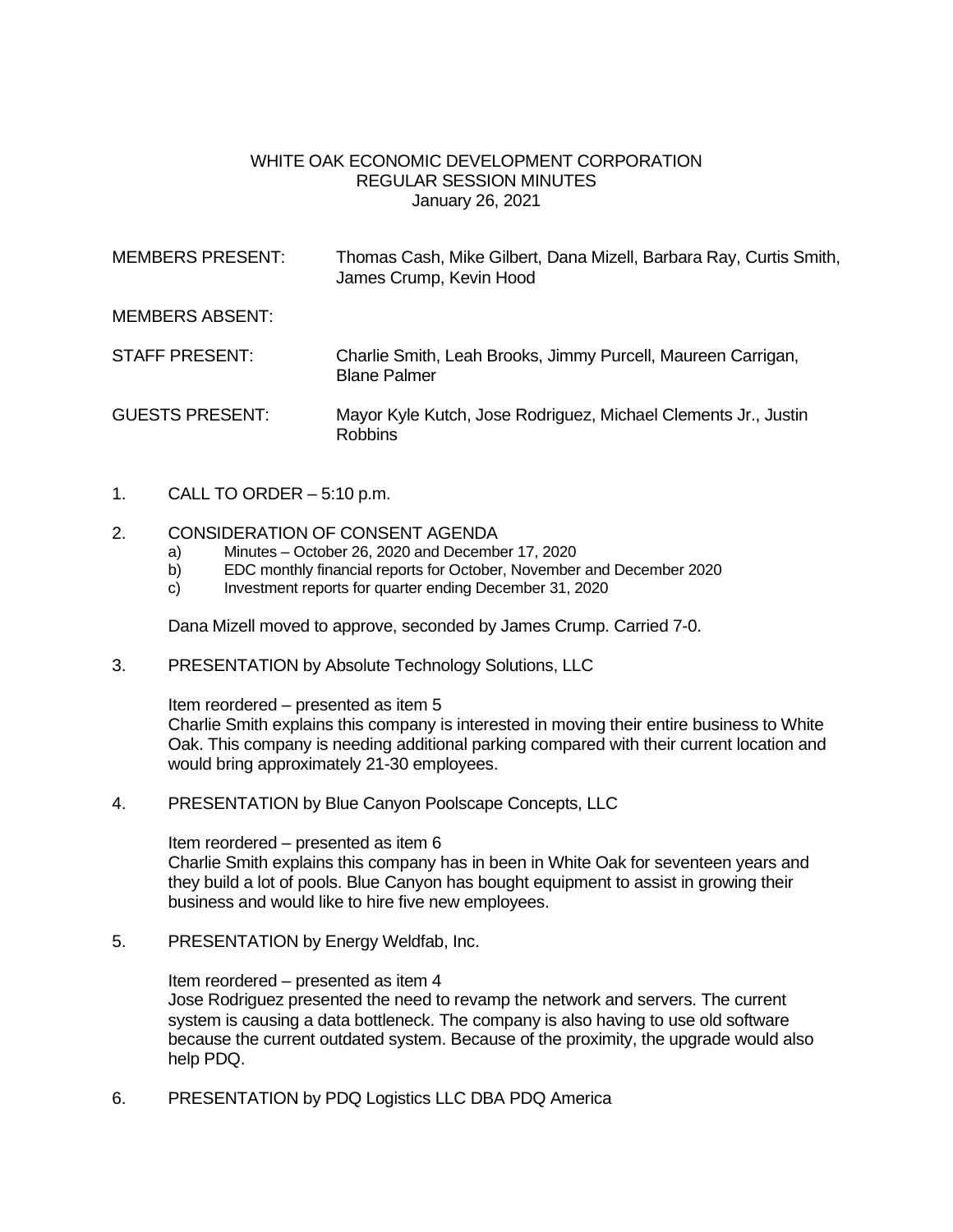### WHITE OAK ECONOMIC DEVELOPMENT CORPORATION REGULAR SESSION MINUTES January 26, 2021

| <b>MEMBERS PRESENT:</b> | Thomas Cash, Mike Gilbert, Dana Mizell, Barbara Ray, Curtis Smith,<br>James Crump, Kevin Hood |
|-------------------------|-----------------------------------------------------------------------------------------------|
| <b>MEMBERS ABSENT:</b>  |                                                                                               |
| <b>STAFF PRESENT:</b>   | Charlie Smith, Leah Brooks, Jimmy Purcell, Maureen Carrigan,<br><b>Blane Palmer</b>           |
| <b>GUESTS PRESENT:</b>  | Mayor Kyle Kutch, Jose Rodriguez, Michael Clements Jr., Justin<br><b>Robbins</b>              |

1. CALL TO ORDER – 5:10 p.m.

### 2. CONSIDERATION OF CONSENT AGENDA

- a) Minutes October 26, 2020 and December 17, 2020
- b) EDC monthly financial reports for October, November and December 2020
- c) Investment reports for quarter ending December 31, 2020

Dana Mizell moved to approve, seconded by James Crump. Carried 7-0.

3. PRESENTATION by Absolute Technology Solutions, LLC

Item reordered – presented as item 5

Charlie Smith explains this company is interested in moving their entire business to White Oak. This company is needing additional parking compared with their current location and would bring approximately 21-30 employees.

4. PRESENTATION by Blue Canyon Poolscape Concepts, LLC

Item reordered – presented as item 6 Charlie Smith explains this company has in been in White Oak for seventeen years and they build a lot of pools. Blue Canyon has bought equipment to assist in growing their business and would like to hire five new employees.

5. PRESENTATION by Energy Weldfab, Inc.

Item reordered – presented as item 4 Jose Rodriguez presented the need to revamp the network and servers. The current system is causing a data bottleneck. The company is also having to use old software because the current outdated system. Because of the proximity, the upgrade would also help PDQ.

6. PRESENTATION by PDQ Logistics LLC DBA PDQ America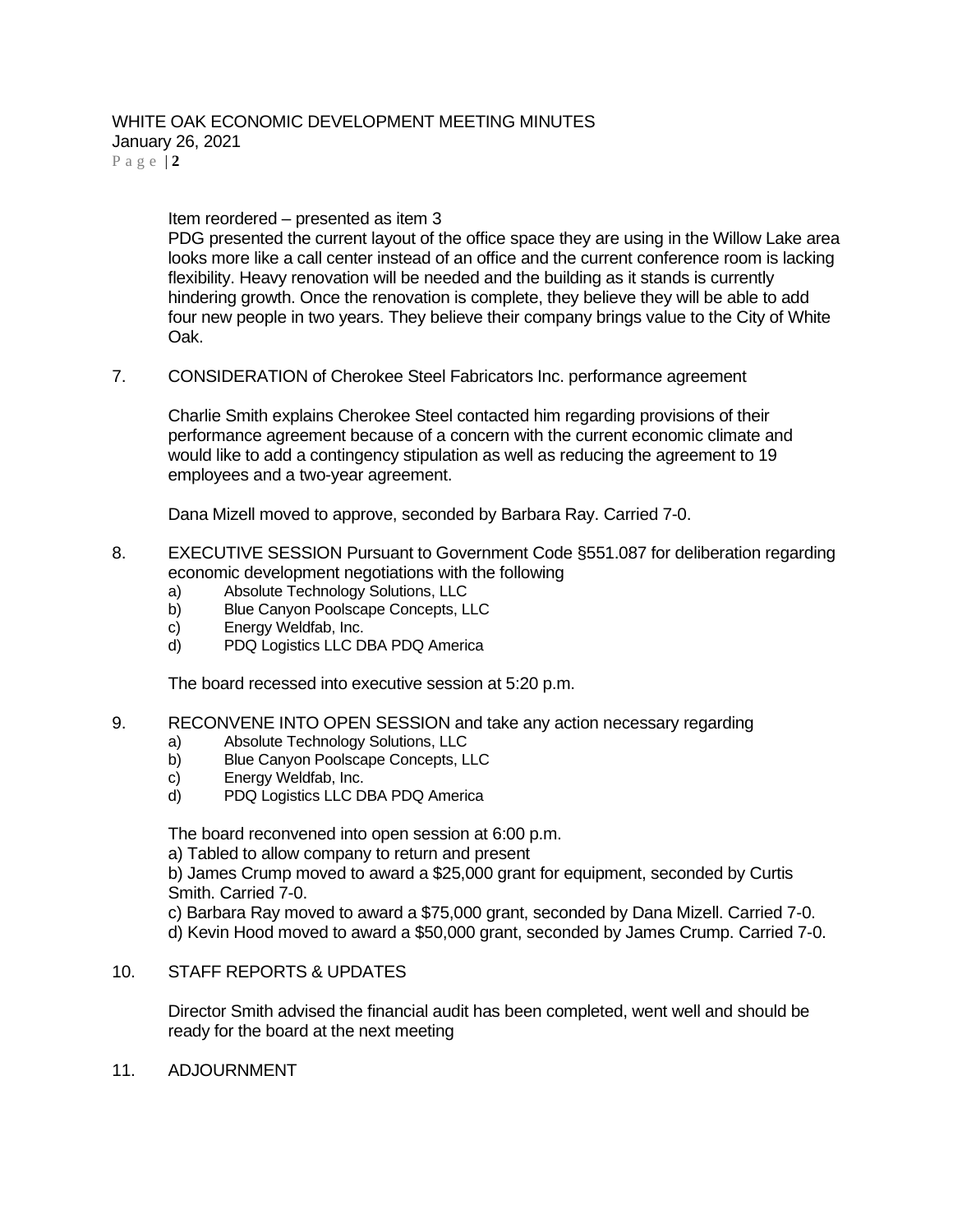## WHITE OAK ECONOMIC DEVELOPMENT MEETING MINUTES January 26, 2021

P a g e | **2**

Item reordered – presented as item 3

PDG presented the current layout of the office space they are using in the Willow Lake area looks more like a call center instead of an office and the current conference room is lacking flexibility. Heavy renovation will be needed and the building as it stands is currently hindering growth. Once the renovation is complete, they believe they will be able to add four new people in two years. They believe their company brings value to the City of White Oak.

7. CONSIDERATION of Cherokee Steel Fabricators Inc. performance agreement

Charlie Smith explains Cherokee Steel contacted him regarding provisions of their performance agreement because of a concern with the current economic climate and would like to add a contingency stipulation as well as reducing the agreement to 19 employees and a two-year agreement.

Dana Mizell moved to approve, seconded by Barbara Ray. Carried 7-0.

- 8. EXECUTIVE SESSION Pursuant to Government Code §551.087 for deliberation regarding economic development negotiations with the following
	- a) Absolute Technology Solutions, LLC
	- b) Blue Canyon Poolscape Concepts, LLC
	- c) Energy Weldfab, Inc.
	- d) PDQ Logistics LLC DBA PDQ America

The board recessed into executive session at 5:20 p.m.

- 9. RECONVENE INTO OPEN SESSION and take any action necessary regarding
	- a) Absolute Technology Solutions, LLC
	- b) Blue Canyon Poolscape Concepts, LLC
	- c) Energy Weldfab, Inc.<br>d) PDQ Logistics LLC D
	- PDQ Logistics LLC DBA PDQ America

The board reconvened into open session at 6:00 p.m.

a) Tabled to allow company to return and present

b) James Crump moved to award a \$25,000 grant for equipment, seconded by Curtis Smith. Carried 7-0.

c) Barbara Ray moved to award a \$75,000 grant, seconded by Dana Mizell. Carried 7-0. d) Kevin Hood moved to award a \$50,000 grant, seconded by James Crump. Carried 7-0.

#### 10. STAFF REPORTS & UPDATES

Director Smith advised the financial audit has been completed, went well and should be ready for the board at the next meeting

11. ADJOURNMENT